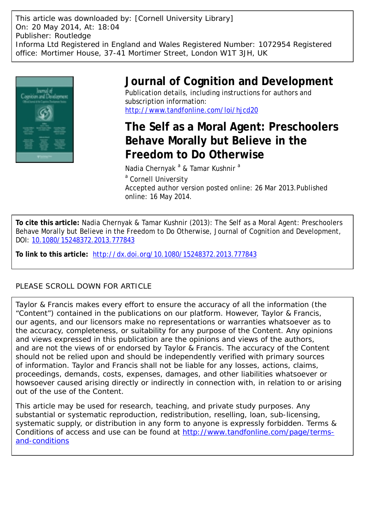This article was downloaded by: [Cornell University Library] On: 20 May 2014, At: 18:04 Publisher: Routledge Informa Ltd Registered in England and Wales Registered Number: 1072954 Registered office: Mortimer House, 37-41 Mortimer Street, London W1T 3JH, UK



# **Journal of Cognition and Development**

Publication details, including instructions for authors and subscription information: <http://www.tandfonline.com/loi/hjcd20>

# **The Self as a Moral Agent: Preschoolers Behave Morally but Believe in the Freedom to Do Otherwise**

Nadia Chernyak <sup>a</sup> & Tamar Kushnir <sup>a</sup>

<sup>a</sup> Cornell University Accepted author version posted online: 26 Mar 2013.Published online: 16 May 2014.

**To cite this article:** Nadia Chernyak & Tamar Kushnir (2013): The Self as a Moral Agent: Preschoolers Behave Morally but Believe in the Freedom to Do Otherwise, Journal of Cognition and Development, DOI: [10.1080/15248372.2013.777843](http://www.tandfonline.com/action/showCitFormats?doi=10.1080/15248372.2013.777843)

**To link to this article:** <http://dx.doi.org/10.1080/15248372.2013.777843>

# PLEASE SCROLL DOWN FOR ARTICLE

Taylor & Francis makes every effort to ensure the accuracy of all the information (the "Content") contained in the publications on our platform. However, Taylor & Francis, our agents, and our licensors make no representations or warranties whatsoever as to the accuracy, completeness, or suitability for any purpose of the Content. Any opinions and views expressed in this publication are the opinions and views of the authors, and are not the views of or endorsed by Taylor & Francis. The accuracy of the Content should not be relied upon and should be independently verified with primary sources of information. Taylor and Francis shall not be liable for any losses, actions, claims, proceedings, demands, costs, expenses, damages, and other liabilities whatsoever or howsoever caused arising directly or indirectly in connection with, in relation to or arising out of the use of the Content.

This article may be used for research, teaching, and private study purposes. Any substantial or systematic reproduction, redistribution, reselling, loan, sub-licensing, systematic supply, or distribution in any form to anyone is expressly forbidden. Terms & Conditions of access and use can be found at [http://www.tandfonline.com/page/terms](http://www.tandfonline.com/page/terms-and-conditions)[and-conditions](http://www.tandfonline.com/page/terms-and-conditions)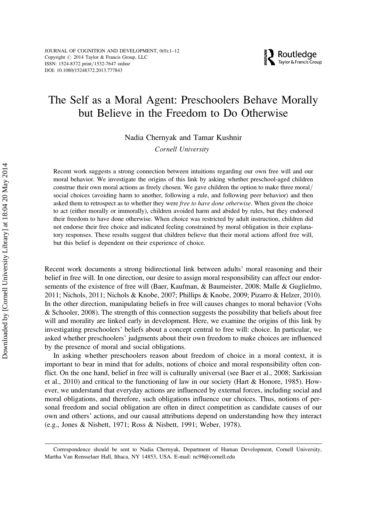# The Self as a Moral Agent: Preschoolers Behave Morally but Believe in the Freedom to Do Otherwise

Nadia Chernyak and Tamar Kushnir

Cornell University

Recent work suggests a strong connection between intuitions regarding our own free will and our moral behavior. We investigate the origins of this link by asking whether preschool-aged children construe their own moral actions as freely chosen. We gave children the option to make three moral/ social choices (avoiding harm to another, following a rule, and following peer behavior) and then asked them to retrospect as to whether they were free to have done otherwise. When given the choice to act (either morally or immorally), children avoided harm and abided by rules, but they endorsed their freedom to have done otherwise. When choice was restricted by adult instruction, children did not endorse their free choice and indicated feeling constrained by moral obligation in their explanatory responses. These results suggest that children believe that their moral actions afford free will, but this belief is dependent on their experience of choice.

Recent work documents a strong bidirectional link between adults' moral reasoning and their belief in free will. In one direction, our desire to assign moral responsibility can affect our endorsements of the existence of free will (Baer, Kaufman, & Baumeister, 2008; Malle & Guglielmo, 2011; Nichols, 2011; Nichols & Knobe, 2007; Phillips & Knobe, 2009; Pizarro & Helzer, 2010). In the other direction, manipulating beliefs in free will causes changes to moral behavior (Vohs & Schooler, 2008). The strength of this connection suggests the possibility that beliefs about free will and morality are linked early in development. Here, we examine the origins of this link by investigating preschoolers' beliefs about a concept central to free will: choice. In particular, we asked whether preschoolers' judgments about their own freedom to make choices are influenced by the presence of moral and social obligations.

In asking whether preschoolers reason about freedom of choice in a moral context, it is important to bear in mind that for adults, notions of choice and moral responsibility often conflict. On the one hand, belief in free will is culturally universal (see Baer et al., 2008; Sarkissian et al., 2010) and critical to the functioning of law in our society (Hart & Honore, 1985). However, we understand that everyday actions are influenced by external forces, including social and moral obligations, and therefore, such obligations influence our choices. Thus, notions of personal freedom and social obligation are often in direct competition as candidate causes of our own and others' actions, and our causal attributions depend on understanding how they interact (e.g., Jones & Nisbett, 1971; Ross & Nisbett, 1991; Weber, 1978).

Correspondence should be sent to Nadia Chernyak, Department of Human Development, Cornell University, Martha Van Rensselaer Hall, Ithaca, NY 14853, USA. E-mail: nc98@cornell.edu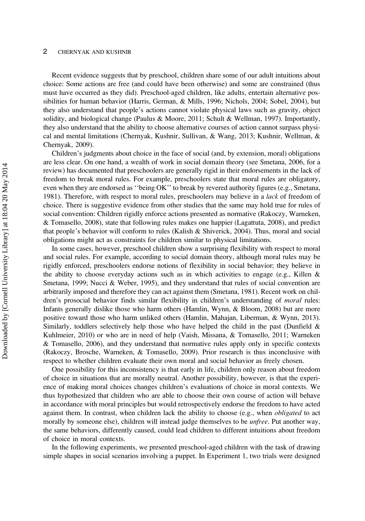Recent evidence suggests that by preschool, children share some of our adult intuitions about choice: Some actions are free (and could have been otherwise) and some are constrained (thus must have occurred as they did). Preschool-aged children, like adults, entertain alternative possibilities for human behavior (Harris, German, & Mills, 1996; Nichols, 2004; Sobel, 2004), but they also understand that people's actions cannot violate physical laws such as gravity, object solidity, and biological change (Paulus & Moore, 2011; Schult & Wellman, 1997). Importantly, they also understand that the ability to choose alternative courses of action cannot surpass physical and mental limitations (Chernyak, Kushnir, Sullivan, & Wang, 2013; Kushnir, Wellman, & Chernyak, 2009).

Children's judgments about choice in the face of social (and, by extension, moral) obligations are less clear. On one hand, a wealth of work in social domain theory (see Smetana, 2006, for a review) has documented that preschoolers are generally rigid in their endorsements in the lack of freedom to break moral rules. For example, preschoolers state that moral rules are obligatory, even when they are endorsed as ''being OK'' to break by revered authority figures (e.g., Smetana, 1981). Therefore, with respect to moral rules, preschoolers may believe in a *lack* of freedom of choice. There is suggestive evidence from other studies that the same may hold true for rules of social convention: Children rigidly enforce actions presented as normative (Rakoczy, Warneken, & Tomasello, 2008), state that following rules makes one happier (Lagattuta, 2008), and predict that people's behavior will conform to rules (Kalish & Shiverick, 2004). Thus, moral and social obligations might act as constraints for children similar to physical limitations.

In some cases, however, preschool children show a surprising flexibility with respect to moral and social rules. For example, according to social domain theory, although moral rules may be rigidly enforced, preschoolers endorse notions of flexibility in social behavior; they believe in the ability to choose everyday actions such as in which activities to engage (e.g., Killen  $\&$ Smetana, 1999; Nucci & Weber, 1995), and they understand that rules of social convention are arbitrarily imposed and therefore they can act against them (Smetana, 1981). Recent work on children's prosocial behavior finds similar flexibility in children's understanding of *moral* rules: Infants generally dislike those who harm others (Hamlin, Wynn, & Bloom, 2008) but are more positive toward those who harm unliked others (Hamlin, Mahajan, Liberman, & Wynn, 2013). Similarly, toddlers selectively help those who have helped the child in the past (Dunfield & Kuhlmeier, 2010) or who are in need of help (Vaish, Missana, & Tomasello, 2011; Warneken & Tomasello, 2006), and they understand that normative rules apply only in specific contexts (Rakoczy, Brosche, Warneken, & Tomasello, 2009). Prior research is thus inconclusive with respect to whether children evaluate their own moral and social behavior as freely chosen.

One possibility for this inconsistency is that early in life, children only reason about freedom of choice in situations that are morally neutral. Another possibility, however, is that the experience of making moral choices changes children's evaluations of choice in moral contexts. We thus hypothesized that children who are able to choose their own course of action will behave in accordance with moral principles but would retrospectively endorse the freedom to have acted against them. In contrast, when children lack the ability to choose (e.g., when *obligated* to act morally by someone else), children will instead judge themselves to be *unfree*. Put another way, the same behaviors, differently caused, could lead children to different intuitions about freedom of choice in moral contexts.

In the following experiments, we presented preschool-aged children with the task of drawing simple shapes in social scenarios involving a puppet. In Experiment 1, two trials were designed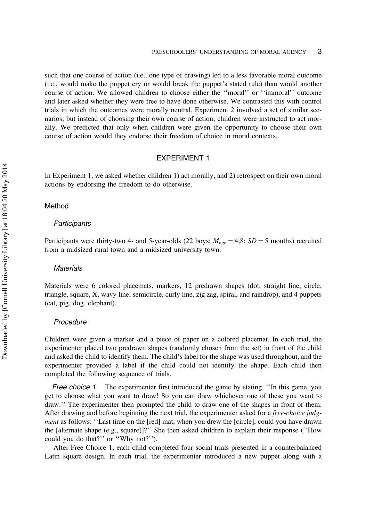such that one course of action (i.e., one type of drawing) led to a less favorable moral outcome (i.e., would make the puppet cry or would break the puppet's stated rule) than would another course of action. We allowed children to choose either the ''moral'' or ''immoral'' outcome and later asked whether they were free to have done otherwise. We contrasted this with control trials in which the outcomes were morally neutral. Experiment 2 involved a set of similar scenarios, but instead of choosing their own course of action, children were instructed to act morally. We predicted that only when children were given the opportunity to choose their own course of action would they endorse their freedom of choice in moral contexts.

# EXPERIMENT 1

In Experiment 1, we asked whether children 1) act morally, and 2) retrospect on their own moral actions by endorsing the freedom to do otherwise.

### Method

# **Participants**

Participants were thirty-two 4- and 5-year-olds (22 boys;  $M_{\text{age}} = 4;8$ ;  $SD = 5$  months) recruited from a midsized rural town and a midsized university town.

# **Materials**

Materials were 6 colored placemats, markers, 12 predrawn shapes (dot, straight line, circle, triangle, square, X, wavy line, semicircle, curly line, zig zag, spiral, and raindrop), and 4 puppets (cat, pig, dog, elephant).

# Procedure

Children were given a marker and a piece of paper on a colored placemat. In each trial, the experimenter placed two predrawn shapes (randomly chosen from the set) in front of the child and asked the child to identify them. The child's label for the shape was used throughout, and the experimenter provided a label if the child could not identify the shape. Each child then completed the following sequence of trials.

Free choice 1. The experimenter first introduced the game by stating, "In this game, you get to choose what you want to draw! So you can draw whichever one of these you want to draw.'' The experimenter then prompted the child to draw one of the shapes in front of them. After drawing and before beginning the next trial, the experimenter asked for a *free-choice judg*ment as follows: "Last time on the [red] mat, when you drew the [circle], could you have drawn the [alternate shape (e.g., square)]?'' She then asked children to explain their response (''How could you do that?'' or ''Why not?'').

After Free Choice 1, each child completed four social trials presented in a counterbalanced Latin square design. In each trial, the experimenter introduced a new puppet along with a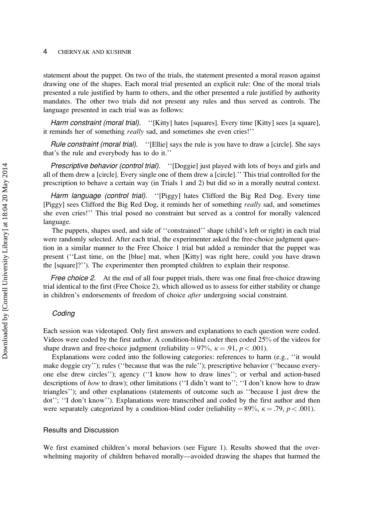statement about the puppet. On two of the trials, the statement presented a moral reason against drawing one of the shapes. Each moral trial presented an explicit rule: One of the moral trials presented a rule justified by harm to others, and the other presented a rule justified by authority mandates. The other two trials did not present any rules and thus served as controls. The language presented in each trial was as follows:

Harm constraint (moral trial). "[Kitty] hates [squares]. Every time [Kitty] sees [a square], it reminds her of something really sad, and sometimes she even cries!''

Rule constraint (moral trial). "[Ellie] says the rule is you have to draw a [circle]. She says that's the rule and everybody has to do it.''

Prescriptive behavior (control trial). "[Doggie] just played with lots of boys and girls and all of them drew a [circle]. Every single one of them drew a [circle].'' This trial controlled for the prescription to behave a certain way (in Trials 1 and 2) but did so in a morally neutral context.

Harm language (control trial). "[Piggy] hates Clifford the Big Red Dog. Every time [Piggy] sees Clifford the Big Red Dog, it reminds her of something really sad, and sometimes she even cries!'' This trial posed no constraint but served as a control for morally valenced language.

The puppets, shapes used, and side of ''constrained'' shape (child's left or right) in each trial were randomly selected. After each trial, the experimenter asked the free-choice judgment question in a similar manner to the Free Choice 1 trial but added a reminder that the puppet was present (''Last time, on the [blue] mat, when [Kitty] was right here, could you have drawn the [square]?''). The experimenter then prompted children to explain their response.

Free choice 2. At the end of all four puppet trials, there was one final free-choice drawing trial identical to the first (Free Choice 2), which allowed us to assess for either stability or change in children's endorsements of freedom of choice *after* undergoing social constraint.

### **Coding**

Each session was videotaped. Only first answers and explanations to each question were coded. Videos were coded by the first author. A condition-blind coder then coded 25% of the videos for shape drawn and free-choice judgment (reliability = 97%,  $\kappa = .91$ ,  $p < .001$ ).

Explanations were coded into the following categories: references to harm (e.g., ''it would make doggie cry''); rules (''because that was the rule''); prescriptive behavior (''because everyone else drew circles''); agency (''I know how to draw lines''; or verbal and action-based descriptions of how to draw); other limitations ("I didn't want to"; "I don't know how to draw triangles''); and other explanations (statements of outcome such as ''because I just drew the dot"; "I don't know"). Explanations were transcribed and coded by the first author and then were separately categorized by a condition-blind coder (reliability = 89%,  $\kappa$  = .79, p < .001).

#### Results and Discussion

We first examined children's moral behaviors (see Figure 1). Results showed that the overwhelming majority of children behaved morally—avoided drawing the shapes that harmed the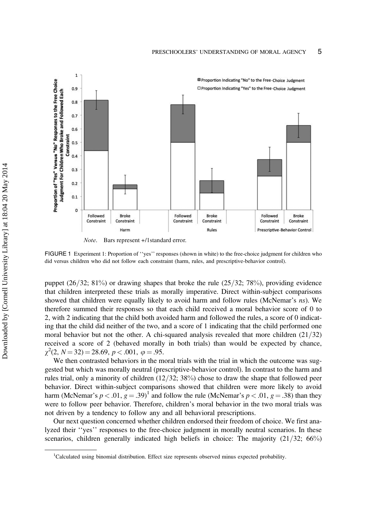

FIGURE 1 Experiment 1: Proportion of ''yes'' responses (shown in white) to the free-choice judgment for children who did versus children who did not follow each constraint (harm, rules, and prescriptive-behavior control).

puppet (26/32; 81%) or drawing shapes that broke the rule (25/32; 78%), providing evidence that children interpreted these trials as morally imperative. Direct within-subject comparisons showed that children were equally likely to avoid harm and follow rules (McNemar's  $ns$ ). We therefore summed their responses so that each child received a moral behavior score of 0 to 2, with 2 indicating that the child both avoided harm and followed the rules, a score of 0 indicating that the child did neither of the two, and a score of 1 indicating that the child performed one moral behavior but not the other. A chi-squared analysis revealed that more children  $(21/32)$ received a score of 2 (behaved morally in both trials) than would be expected by chance,  $\chi^2(2, N=32) = 28.69, p < .001, \varphi = .95.$ 

We then contrasted behaviors in the moral trials with the trial in which the outcome was suggested but which was morally neutral (prescriptive-behavior control). In contrast to the harm and rules trial, only a minority of children  $(12/32; 38%)$  chose to draw the shape that followed peer behavior. Direct within-subject comparisons showed that children were more likely to avoid harm (McNemar's  $p < .01$ ,  $g = .39$ )<sup>1</sup> and follow the rule (McNemar's  $p < .01$ ,  $g = .38$ ) than they were to follow peer behavior. Therefore, children's moral behavior in the two moral trials was not driven by a tendency to follow any and all behavioral prescriptions.

Our next question concerned whether children endorsed their freedom of choice. We first analyzed their ''yes'' responses to the free-choice judgment in morally neutral scenarios. In these scenarios, children generally indicated high beliefs in choice: The majority  $(21/32; 66%)$ 

<sup>&</sup>lt;sup>1</sup>Calculated using binomial distribution. Effect size represents observed minus expected probability.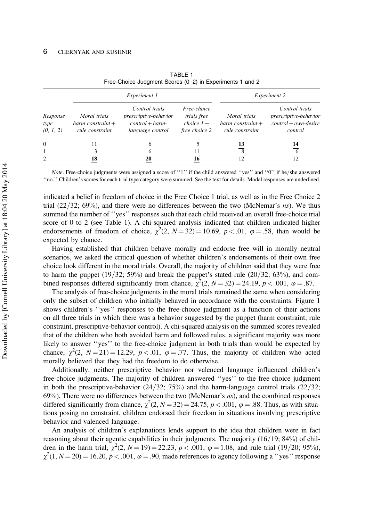| Response<br>type<br>(0, 1, 2) | Experiment 1                                           |                                                                                 |                                                            | Experiment 2                                           |                                                                                      |
|-------------------------------|--------------------------------------------------------|---------------------------------------------------------------------------------|------------------------------------------------------------|--------------------------------------------------------|--------------------------------------------------------------------------------------|
|                               | Moral trials<br>harm constraint $+$<br>rule constraint | Control trials<br>prescriptive-behavior<br>$control + harm$<br>language control | Free-choice<br>trials free<br>choice $1+$<br>free choice 2 | Moral trials<br>harm constraint $+$<br>rule constraint | Control trials<br>prescriptive-behavior<br>$control + own\text{-}desired$<br>control |
| $\Omega$                      |                                                        | 6                                                                               |                                                            | 13                                                     | 14                                                                                   |
|                               |                                                        | 6                                                                               | 11                                                         |                                                        | - 6                                                                                  |
| 2                             | 18                                                     | 20                                                                              | 16                                                         |                                                        | 12                                                                                   |

TABLE 1 Free-Choice Judgment Scores (0–2) in Experiments 1 and 2

Note. Free-choice judgments were assigned a score of "1" if the child answered "yes" and "0" if he/she answered ''no.'' Children's scores for each trial type category were summed. See the text for details. Modal responses are underlined.

indicated a belief in freedom of choice in the Free Choice 1 trial, as well as in the Free Choice 2 trial (22/32; 69%), and there were no differences between the two (McNemar's ns). We thus summed the number of ''yes'' responses such that each child received an overall free-choice trial score of 0 to 2 (see Table 1). A chi-squared analysis indicated that children indicated higher endorsements of freedom of choice,  $\chi^2(2, N=32) = 10.69$ ,  $p < .01$ ,  $\varphi = .58$ , than would be expected by chance.

Having established that children behave morally and endorse free will in morally neutral scenarios, we asked the critical question of whether children's endorsements of their own free choice look different in the moral trials. Overall, the majority of children said that they were free to harm the puppet (19/32; 59%) and break the puppet's stated rule (20/32; 63%), and combined responses differed significantly from chance,  $\chi^2(2, N = 32) = 24.19$ ,  $p < .001$ ,  $\varphi = .87$ .

The analysis of free-choice judgments in the moral trials remained the same when considering only the subset of children who initially behaved in accordance with the constraints. Figure 1 shows children's ''yes'' responses to the free-choice judgment as a function of their actions on all three trials in which there was a behavior suggested by the puppet (harm constraint, rule constraint, prescriptive-behavior control). A chi-squared analysis on the summed scores revealed that of the children who both avoided harm and followed rules, a significant majority was more likely to answer ''yes'' to the free-choice judgment in both trials than would be expected by chance,  $\chi^2(2, N=21) = 12.29$ ,  $p < .01$ ,  $\varphi = .77$ . Thus, the majority of children who acted morally believed that they had the freedom to do otherwise.

Additionally, neither prescriptive behavior nor valenced language influenced children's free-choice judgments. The majority of children answered ''yes'' to the free-choice judgment in both the prescriptive-behavior  $(24/32; 75%)$  and the harm-language control trials  $(22/32;$ 69%). There were no differences between the two (McNemar's ns), and the combined responses differed significantly from chance,  $\chi^2(2, N = 32) = 24.75$ ,  $p < .001$ ,  $\varphi = .88$ . Thus, as with situations posing no constraint, children endorsed their freedom in situations involving prescriptive behavior and valenced language.

An analysis of children's explanations lends support to the idea that children were in fact reasoning about their agentic capabilities in their judgments. The majority  $(16/19; 84%)$  of children in the harm trial,  $\chi^2(2, N=19) = 22.23, p < .001, \varphi = 1.08$ , and rule trial (19/20; 95%),  $\chi^2(1, N=20) = 16.20, p < .001, \varphi = .90$ , made references to agency following a "yes" response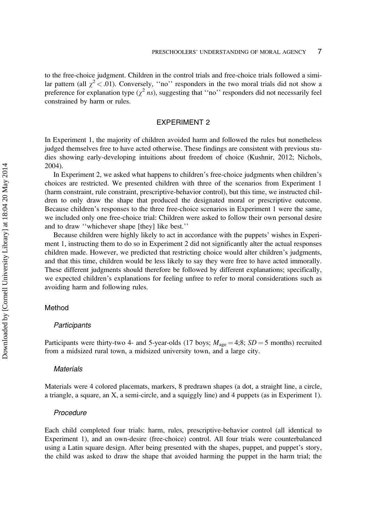to the free-choice judgment. Children in the control trials and free-choice trials followed a similar pattern (all  $\chi^2$  < .01). Conversely, "no" responders in the two moral trials did not show a preference for explanation type  $(\chi^2$  ns), suggesting that "no" responders did not necessarily feel constrained by harm or rules.

# EXPERIMENT 2

In Experiment 1, the majority of children avoided harm and followed the rules but nonetheless judged themselves free to have acted otherwise. These findings are consistent with previous studies showing early-developing intuitions about freedom of choice (Kushnir, 2012; Nichols, 2004).

In Experiment 2, we asked what happens to children's free-choice judgments when children's choices are restricted. We presented children with three of the scenarios from Experiment 1 (harm constraint, rule constraint, prescriptive-behavior control), but this time, we instructed children to only draw the shape that produced the designated moral or prescriptive outcome. Because children's responses to the three free-choice scenarios in Experiment 1 were the same, we included only one free-choice trial: Children were asked to follow their own personal desire and to draw ''whichever shape [they] like best.''

Because children were highly likely to act in accordance with the puppets' wishes in Experiment 1, instructing them to do so in Experiment 2 did not significantly alter the actual responses children made. However, we predicted that restricting choice would alter children's judgments, and that this time, children would be less likely to say they were free to have acted immorally. These different judgments should therefore be followed by different explanations; specifically, we expected children's explanations for feeling unfree to refer to moral considerations such as avoiding harm and following rules.

#### Method

#### Participants

Participants were thirty-two 4- and 5-year-olds (17 boys;  $M_{\text{age}} = 4.8$ ;  $SD = 5$  months) recruited from a midsized rural town, a midsized university town, and a large city.

#### Materials

Materials were 4 colored placemats, markers, 8 predrawn shapes (a dot, a straight line, a circle, a triangle, a square, an X, a semi-circle, and a squiggly line) and 4 puppets (as in Experiment 1).

#### Procedure

Each child completed four trials: harm, rules, prescriptive-behavior control (all identical to Experiment 1), and an own-desire (free-choice) control. All four trials were counterbalanced using a Latin square design. After being presented with the shapes, puppet, and puppet's story, the child was asked to draw the shape that avoided harming the puppet in the harm trial; the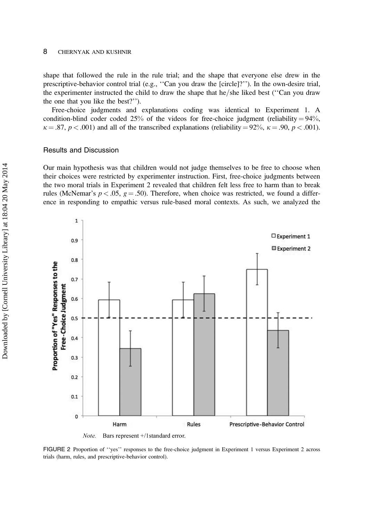shape that followed the rule in the rule trial; and the shape that everyone else drew in the prescriptive-behavior control trial (e.g., ''Can you draw the [circle]?''). In the own-desire trial, the experimenter instructed the child to draw the shape that he/she liked best ("Can you draw the one that you like the best?'').

Free-choice judgments and explanations coding was identical to Experiment 1. A condition-blind coder coded 25% of the videos for free-choice judgment (reliability =  $94\%$ ,  $\kappa = .87$ ,  $p < .001$ ) and all of the transcribed explanations (reliability = 92%,  $\kappa = .90$ ,  $p < .001$ ).

#### Results and Discussion

Our main hypothesis was that children would not judge themselves to be free to choose when their choices were restricted by experimenter instruction. First, free-choice judgments between the two moral trials in Experiment 2 revealed that children felt less free to harm than to break rules (McNemar's  $p < .05$ ,  $g = .50$ ). Therefore, when choice was restricted, we found a difference in responding to empathic versus rule-based moral contexts. As such, we analyzed the



FIGURE 2 Proportion of ''yes'' responses to the free-choice judgment in Experiment 1 versus Experiment 2 across trials (harm, rules, and prescriptive-behavior control).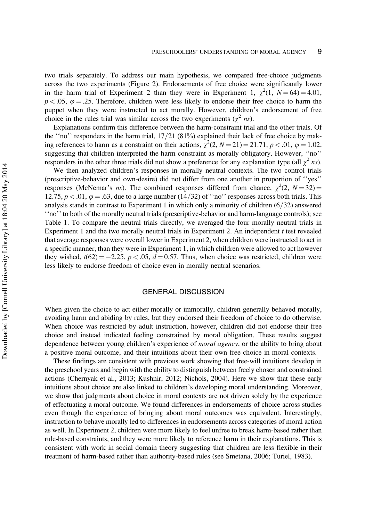two trials separately. To address our main hypothesis, we compared free-choice judgments across the two experiments (Figure 2). Endorsements of free choice were significantly lower in the harm trial of Experiment 2 than they were in Experiment 1,  $\chi^2(1, N=64)=4.01$ ,  $p < .05$ ,  $\varphi = .25$ . Therefore, children were less likely to endorse their free choice to harm the puppet when they were instructed to act morally. However, children's endorsement of free choice in the rules trial was similar across the two experiments  $(\chi^2 \text{ ns})$ .

Explanations confirm this difference between the harm-constraint trial and the other trials. Of the "no" responders in the harm trial,  $17/21$  (81%) explained their lack of free choice by making references to harm as a constraint on their actions,  $\chi^2(2, N=21) = 21.71$ ,  $p < .01$ ,  $\varphi = 1.02$ , suggesting that children interpreted the harm constraint as morally obligatory. However, ''no'' responders in the other three trials did not show a preference for any explanation type (all  $\chi^2$  ns).

We then analyzed children's responses in morally neutral contexts. The two control trials (prescriptive-behavior and own-desire) did not differ from one another in proportion of ''yes'' responses (McNemar's *ns*). The combined responses differed from chance,  $\chi^2(2, N=32)$  = 12.75,  $p < .01$ ,  $\varphi = .63$ , due to a large number (14/32) of "no" responses across both trials. This analysis stands in contrast to Experiment 1 in which only a minority of children  $(6/32)$  answered ''no'' to both of the morally neutral trials (prescriptive-behavior and harm-language controls); see Table 1. To compare the neutral trials directly, we averaged the four morally neutral trials in Experiment 1 and the two morally neutral trials in Experiment 2. An independent  $t$  test revealed that average responses were overall lower in Experiment 2, when children were instructed to act in a specific manner, than they were in Experiment 1, in which children were allowed to act however they wished,  $t(62) = -2.25$ ,  $p < .05$ ,  $d = 0.57$ . Thus, when choice was restricted, children were less likely to endorse freedom of choice even in morally neutral scenarios.

# GENERAL DISCUSSION

When given the choice to act either morally or immorally, children generally behaved morally, avoiding harm and abiding by rules, but they endorsed their freedom of choice to do otherwise. When choice was restricted by adult instruction, however, children did not endorse their free choice and instead indicated feeling constrained by moral obligation. These results suggest dependence between young children's experience of *moral agency*, or the ability to bring about a positive moral outcome, and their intuitions about their own free choice in moral contexts.

These findings are consistent with previous work showing that free-will intuitions develop in the preschool years and begin with the ability to distinguish between freely chosen and constrained actions (Chernyak et al., 2013; Kushnir, 2012; Nichols, 2004). Here we show that these early intuitions about choice are also linked to children's developing moral understanding. Moreover, we show that judgments about choice in moral contexts are not driven solely by the experience of effectuating a moral outcome. We found differences in endorsements of choice across studies even though the experience of bringing about moral outcomes was equivalent. Interestingly, instruction to behave morally led to differences in endorsements across categories of moral action as well. In Experiment 2, children were more likely to feel unfree to break harm-based rather than rule-based constraints, and they were more likely to reference harm in their explanations. This is consistent with work in social domain theory suggesting that children are less flexible in their treatment of harm-based rather than authority-based rules (see Smetana, 2006; Turiel, 1983).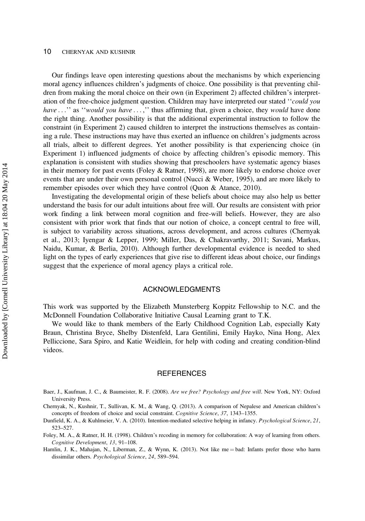Our findings leave open interesting questions about the mechanisms by which experiencing moral agency influences children's judgments of choice. One possibility is that preventing children from making the moral choice on their own (in Experiment 2) affected children's interpretation of the free-choice judgment question. Children may have interpreted our stated "could you have ..." as "would you have ...," thus affirming that, given a choice, they would have done the right thing. Another possibility is that the additional experimental instruction to follow the constraint (in Experiment 2) caused children to interpret the instructions themselves as containing a rule. These instructions may have thus exerted an influence on children's judgments across all trials, albeit to different degrees. Yet another possibility is that experiencing choice (in Experiment 1) influenced judgments of choice by affecting children's episodic memory. This explanation is consistent with studies showing that preschoolers have systematic agency biases in their memory for past events (Foley & Ratner, 1998), are more likely to endorse choice over events that are under their own personal control (Nucci & Weber, 1995), and are more likely to remember episodes over which they have control (Quon & Atance, 2010).

Investigating the developmental origin of these beliefs about choice may also help us better understand the basis for our adult intuitions about free will. Our results are consistent with prior work finding a link between moral cognition and free-will beliefs. However, they are also consistent with prior work that finds that our notion of choice, a concept central to free will, is subject to variability across situations, across development, and across cultures (Chernyak et al., 2013; Iyengar & Lepper, 1999; Miller, Das, & Chakravarthy, 2011; Savani, Markus, Naidu, Kumar, & Berlia, 2010). Although further developmental evidence is needed to shed light on the types of early experiences that give rise to different ideas about choice, our findings suggest that the experience of moral agency plays a critical role.

# ACKNOWLEDGMENTS

This work was supported by the Elizabeth Munsterberg Koppitz Fellowship to N.C. and the McDonnell Foundation Collaborative Initiative Causal Learning grant to T.K.

We would like to thank members of the Early Childhood Cognition Lab, especially Katy Braun, Christina Bryce, Shelby Distenfeld, Lara Gentilini, Emily Hayko, Nina Hong, Alex Pelliccione, Sara Spiro, and Katie Weidlein, for help with coding and creating condition-blind videos.

### **REFERENCES**

- Baer, J., Kaufman, J. C., & Baumeister, R. F. (2008). Are we free? Psychology and free will. New York, NY: Oxford University Press.
- Chernyak, N., Kushnir, T., Sullivan, K. M., & Wang, Q. (2013). A comparison of Nepalese and American children's concepts of freedom of choice and social constraint. Cognitive Science, 37, 1343–1355.
- Dunfield, K. A., & Kuhlmeier, V. A. (2010). Intention-mediated selective helping in infancy. Psychological Science, 21, 523–527.
- Foley, M. A., & Ratner, H. H. (1998). Children's recoding in memory for collaboration: A way of learning from others. Cognitive Development, 13, 91–108.
- Hamlin, J. K., Mahajan, N., Liberman, Z., & Wynn, K. (2013). Not like me = bad: Infants prefer those who harm dissimilar others. Psychological Science, 24, 589–594.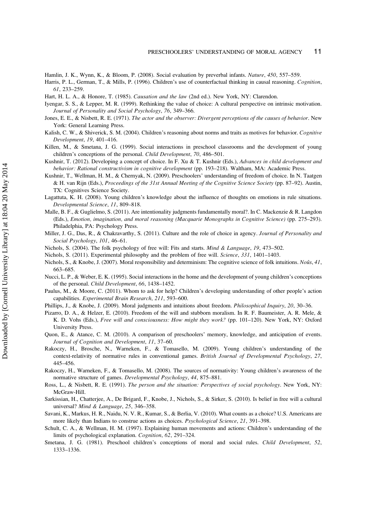Hamlin, J. K., Wynn, K., & Bloom, P. (2008). Social evaluation by preverbal infants. Nature, 450, 557–559.

- Harris, P. L., German, T., & Mills, P. (1996). Children's use of counterfactual thinking in causal reasoning. Cognition, 61, 233–259.
- Hart, H. L. A., & Honore, T. (1985). Causation and the law (2nd ed.). New York, NY: Clarendon.
- Iyengar, S. S., & Lepper, M. R. (1999). Rethinking the value of choice: A cultural perspective on intrinsic motivation. Journal of Personality and Social Psychology, 76, 349–366.
- Jones, E. E., & Nisbett, R. E. (1971). The actor and the observer: Divergent perceptions of the causes of behavior. New York: General Learning Press.
- Kalish, C. W., & Shiverick, S. M. (2004). Children's reasoning about norms and traits as motives for behavior. Cognitive Development, 19, 401–416.
- Killen, M., & Smetana, J. G. (1999). Social interactions in preschool classrooms and the development of young children's conceptions of the personal. Child Development, 70, 486–501.
- Kushnir, T. (2012). Developing a concept of choice. In F. Xu & T. Kushnir (Eds.), Advances in child development and behavior: Rational constructivism in cognitive development (pp. 193–218). Waltham, MA: Academic Press.
- Kushnir, T., Wellman, H. M., & Chernyak, N. (2009). Preschoolers' understanding of freedom of choice. In N. Taatgen & H. van Rijn (Eds.), Proceedings of the 31st Annual Meeting of the Cognitive Science Society (pp. 87–92). Austin, TX: Cognitives Science Society.
- Lagattuta, K. H. (2008). Young children's knowledge about the influence of thoughts on emotions in rule situations. Developmental Science, 11, 809–818.
- Malle, B. F., & Guglielmo, S. (2011). Are intentionality judgments fundamentally moral?. In C. Mackenzie & R. Langdon (Eds.), Emotion, imagination, and moral reasoning (Macquarie Monographs in Cognitive Science) (pp. 275–293). Philadelphia, PA: Psychology Press.
- Miller, J. G., Das, R., & Chakravarthy, S. (2011). Culture and the role of choice in agency. Journal of Personality and Social Psychology, 101, 46–61.
- Nichols, S. (2004). The folk psychology of free will: Fits and starts. *Mind & Language*, 19, 473–502.
- Nichols, S. (2011). Experimental philosophy and the problem of free will. Science, 331, 1401–1403.
- Nichols, S., & Knobe, J. (2007). Moral responsibility and determinism: The cognitive science of folk intuitions. Nous, 41, 663–685.
- Nucci, L. P., & Weber, E. K. (1995). Social interactions in the home and the development of young children's conceptions of the personal. Child Development, 66, 1438-1452.
- Paulus, M., & Moore, C. (2011). Whom to ask for help? Children's developing understanding of other people's action capabilities. Experimental Brain Research, 211, 593–600.
- Phillips, J., & Knobe, J. (2009). Moral judgments and intuitions about freedom. Philosophical Inquiry, 20, 30–36.
- Pizarro, D. A., & Helzer, E. (2010). Freedom of the will and stubborn moralism. In R. F. Baumeister, A. R. Mele, & K. D. Vohs (Eds.), Free will and consciousness: How might they work? (pp. 101–120). New York, NY: Oxford University Press.
- Quon, E., & Atance, C. M. (2010). A comparison of preschoolers' memory, knowledge, and anticipation of events. Journal of Cognition and Development, 11, 37–60.
- Rakoczy, H., Brosche, N., Warneken, F., & Tomasello, M. (2009). Young children's understanding of the context-relativity of normative rules in conventional games. British Journal of Developmental Psychology, 27, 445–456.
- Rakoczy, H., Warneken, F., & Tomasello, M. (2008). The sources of normativity: Young children's awareness of the normative structure of games. Developmental Psychology, 44, 875–881.
- Ross, L., & Nisbett, R. E. (1991). The person and the situation: Perspectives of social psychology. New York, NY: McGraw-Hill.
- Sarkissian, H., Chatterjee, A., De Brigard, F., Knobe, J., Nichols, S., & Sirker, S. (2010). Is belief in free will a cultural universal? Mind & Language, 25, 346–358.
- Savani, K., Markus, H. R., Naidu, N. V. R., Kumar, S., & Berlia, V. (2010). What counts as a choice? U.S. Americans are more likely than Indians to construe actions as choices. *Psychological Science*, 21, 391–398.
- Schult, C. A., & Wellman, H. M. (1997). Explaining human movements and actions: Children's understanding of the limits of psychological explanation. Cognition, 62, 291–324.
- Smetana, J. G. (1981). Preschool children's conceptions of moral and social rules. Child Development, 52, 1333–1336.